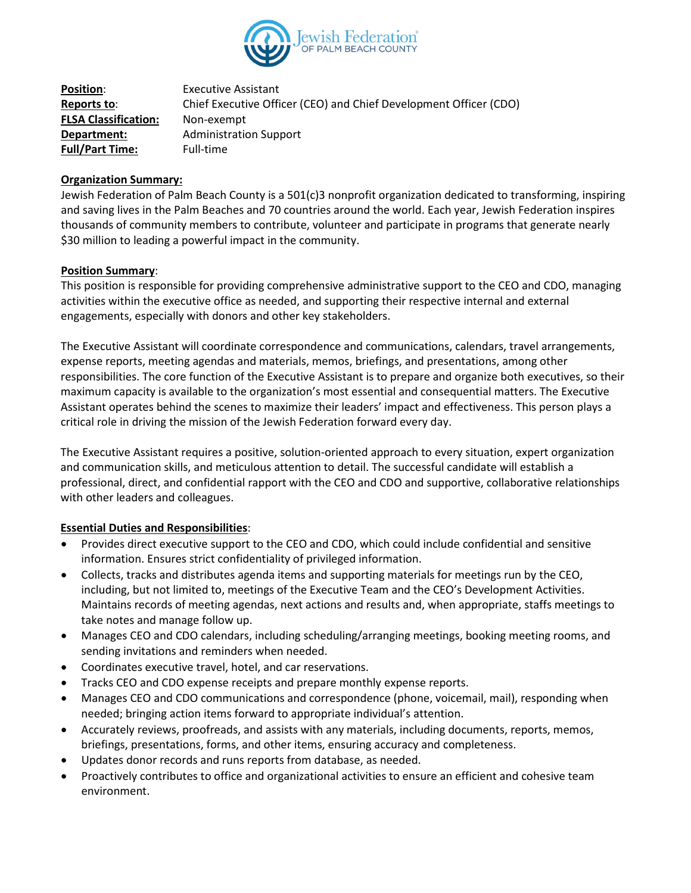

| <b>Position:</b>            | <b>Executive Assistant</b>                                        |
|-----------------------------|-------------------------------------------------------------------|
| Reports to:                 | Chief Executive Officer (CEO) and Chief Development Officer (CDO) |
| <b>FLSA Classification:</b> | Non-exempt                                                        |
| Department:                 | <b>Administration Support</b>                                     |
| <b>Full/Part Time:</b>      | Full-time                                                         |

### **Organization Summary:**

Jewish Federation of Palm Beach County is a 501(c)3 nonprofit organization dedicated to transforming, inspiring and saving lives in the Palm Beaches and 70 countries around the world. Each year, Jewish Federation inspires thousands of community members to contribute, volunteer and participate in programs that generate nearly \$30 million to leading a powerful impact in the community.

### **Position Summary**:

This position is responsible for providing comprehensive administrative support to the CEO and CDO, managing activities within the executive office as needed, and supporting their respective internal and external engagements, especially with donors and other key stakeholders.

The Executive Assistant will coordinate correspondence and communications, calendars, travel arrangements, expense reports, meeting agendas and materials, memos, briefings, and presentations, among other responsibilities. The core function of the Executive Assistant is to prepare and organize both executives, so their maximum capacity is available to the organization's most essential and consequential matters. The Executive Assistant operates behind the scenes to maximize their leaders' impact and effectiveness. This person plays a critical role in driving the mission of the Jewish Federation forward every day.

The Executive Assistant requires a positive, solution-oriented approach to every situation, expert organization and communication skills, and meticulous attention to detail. The successful candidate will establish a professional, direct, and confidential rapport with the CEO and CDO and supportive, collaborative relationships with other leaders and colleagues.

## **Essential Duties and Responsibilities**:

- Provides direct executive support to the CEO and CDO, which could include confidential and sensitive information. Ensures strict confidentiality of privileged information.
- Collects, tracks and distributes agenda items and supporting materials for meetings run by the CEO, including, but not limited to, meetings of the Executive Team and the CEO's Development Activities. Maintains records of meeting agendas, next actions and results and, when appropriate, staffs meetings to take notes and manage follow up.
- Manages CEO and CDO calendars, including scheduling/arranging meetings, booking meeting rooms, and sending invitations and reminders when needed.
- Coordinates executive travel, hotel, and car reservations.
- Tracks CEO and CDO expense receipts and prepare monthly expense reports.
- Manages CEO and CDO communications and correspondence (phone, voicemail, mail), responding when needed; bringing action items forward to appropriate individual's attention.
- Accurately reviews, proofreads, and assists with any materials, including documents, reports, memos, briefings, presentations, forms, and other items, ensuring accuracy and completeness.
- Updates donor records and runs reports from database, as needed.
- Proactively contributes to office and organizational activities to ensure an efficient and cohesive team environment.